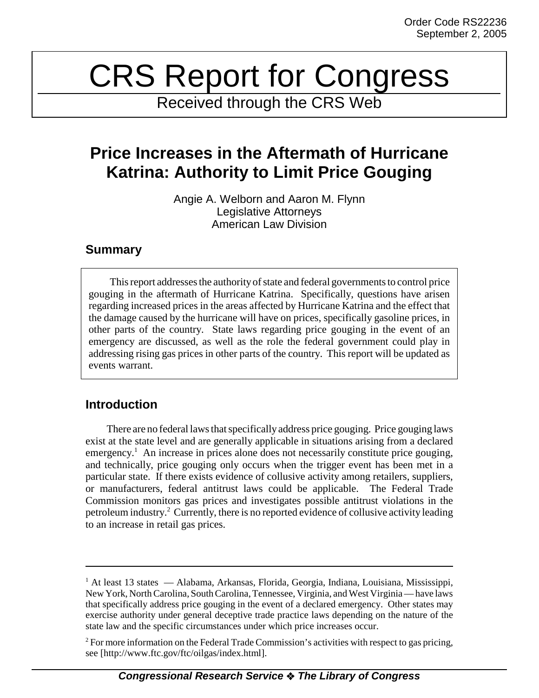# CRS Report for Congress

Received through the CRS Web

# **Price Increases in the Aftermath of Hurricane Katrina: Authority to Limit Price Gouging**

Angie A. Welborn and Aaron M. Flynn Legislative Attorneys American Law Division

## **Summary**

This report addresses the authority of state and federal governments to control price gouging in the aftermath of Hurricane Katrina. Specifically, questions have arisen regarding increased prices in the areas affected by Hurricane Katrina and the effect that the damage caused by the hurricane will have on prices, specifically gasoline prices, in other parts of the country. State laws regarding price gouging in the event of an emergency are discussed, as well as the role the federal government could play in addressing rising gas prices in other parts of the country. This report will be updated as events warrant.

# **Introduction**

There are no federal laws that specifically address price gouging. Price gouging laws exist at the state level and are generally applicable in situations arising from a declared emergency.<sup>1</sup> An increase in prices alone does not necessarily constitute price gouging, and technically, price gouging only occurs when the trigger event has been met in a particular state. If there exists evidence of collusive activity among retailers, suppliers, or manufacturers, federal antitrust laws could be applicable. The Federal Trade Commission monitors gas prices and investigates possible antitrust violations in the petroleum industry.<sup>2</sup> Currently, there is no reported evidence of collusive activity leading to an increase in retail gas prices.

<sup>&</sup>lt;sup>1</sup> At least 13 states — Alabama, Arkansas, Florida, Georgia, Indiana, Louisiana, Mississippi, New York, North Carolina, South Carolina, Tennessee, Virginia, and West Virginia — have laws that specifically address price gouging in the event of a declared emergency. Other states may exercise authority under general deceptive trade practice laws depending on the nature of the state law and the specific circumstances under which price increases occur.

 $2^2$  For more information on the Federal Trade Commission's activities with respect to gas pricing, see [http://www.ftc.gov/ftc/oilgas/index.html].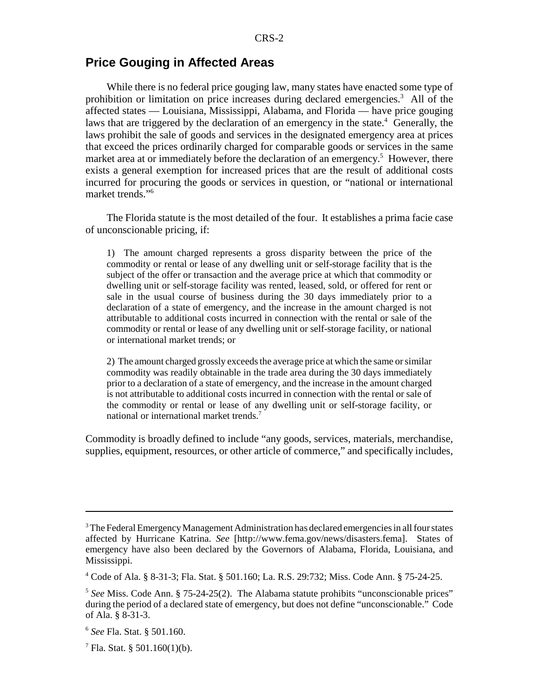### **Price Gouging in Affected Areas**

While there is no federal price gouging law, many states have enacted some type of prohibition or limitation on price increases during declared emergencies.<sup>3</sup> All of the affected states — Louisiana, Mississippi, Alabama, and Florida — have price gouging laws that are triggered by the declaration of an emergency in the state.<sup>4</sup> Generally, the laws prohibit the sale of goods and services in the designated emergency area at prices that exceed the prices ordinarily charged for comparable goods or services in the same market area at or immediately before the declaration of an emergency.<sup>5</sup> However, there exists a general exemption for increased prices that are the result of additional costs incurred for procuring the goods or services in question, or "national or international market trends."6

The Florida statute is the most detailed of the four. It establishes a prima facie case of unconscionable pricing, if:

1) The amount charged represents a gross disparity between the price of the commodity or rental or lease of any dwelling unit or self-storage facility that is the subject of the offer or transaction and the average price at which that commodity or dwelling unit or self-storage facility was rented, leased, sold, or offered for rent or sale in the usual course of business during the 30 days immediately prior to a declaration of a state of emergency, and the increase in the amount charged is not attributable to additional costs incurred in connection with the rental or sale of the commodity or rental or lease of any dwelling unit or self-storage facility, or national or international market trends; or

2) The amount charged grossly exceeds the average price at which the same or similar commodity was readily obtainable in the trade area during the 30 days immediately prior to a declaration of a state of emergency, and the increase in the amount charged is not attributable to additional costs incurred in connection with the rental or sale of the commodity or rental or lease of any dwelling unit or self-storage facility, or national or international market trends.<sup>7</sup>

Commodity is broadly defined to include "any goods, services, materials, merchandise, supplies, equipment, resources, or other article of commerce," and specifically includes,

 $3$  The Federal Emergency Management Administration has declared emergencies in all four states affected by Hurricane Katrina. *See* [http://www.fema.gov/news/disasters.fema]. States of emergency have also been declared by the Governors of Alabama, Florida, Louisiana, and Mississippi.

<sup>4</sup> Code of Ala. § 8-31-3; Fla. Stat. § 501.160; La. R.S. 29:732; Miss. Code Ann. § 75-24-25.

<sup>5</sup> *See* Miss. Code Ann. § 75-24-25(2). The Alabama statute prohibits "unconscionable prices" during the period of a declared state of emergency, but does not define "unconscionable." Code of Ala. § 8-31-3.

<sup>6</sup> *See* Fla. Stat. § 501.160.

 $^7$  Fla. Stat. § 501.160(1)(b).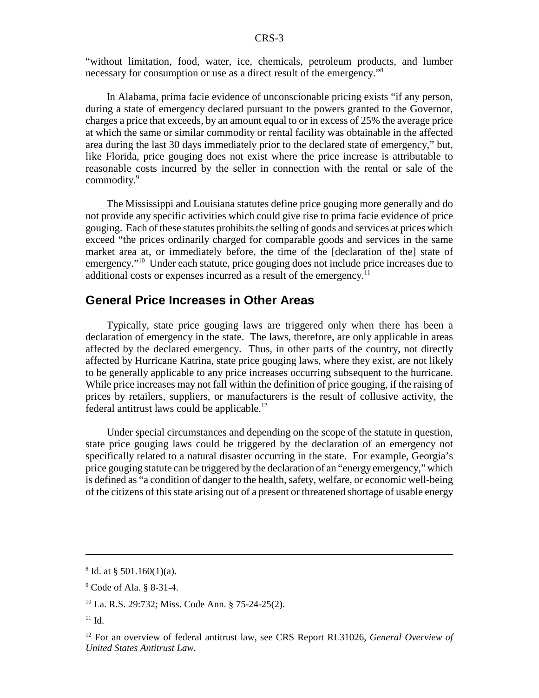"without limitation, food, water, ice, chemicals, petroleum products, and lumber necessary for consumption or use as a direct result of the emergency."8

In Alabama, prima facie evidence of unconscionable pricing exists "if any person, during a state of emergency declared pursuant to the powers granted to the Governor, charges a price that exceeds, by an amount equal to or in excess of 25% the average price at which the same or similar commodity or rental facility was obtainable in the affected area during the last 30 days immediately prior to the declared state of emergency," but, like Florida, price gouging does not exist where the price increase is attributable to reasonable costs incurred by the seller in connection with the rental or sale of the commodity.<sup>9</sup>

The Mississippi and Louisiana statutes define price gouging more generally and do not provide any specific activities which could give rise to prima facie evidence of price gouging. Each of these statutes prohibits the selling of goods and services at prices which exceed "the prices ordinarily charged for comparable goods and services in the same market area at, or immediately before, the time of the [declaration of the] state of emergency."<sup>10</sup> Under each statute, price gouging does not include price increases due to additional costs or expenses incurred as a result of the emergency.<sup>11</sup>

#### **General Price Increases in Other Areas**

Typically, state price gouging laws are triggered only when there has been a declaration of emergency in the state. The laws, therefore, are only applicable in areas affected by the declared emergency. Thus, in other parts of the country, not directly affected by Hurricane Katrina, state price gouging laws, where they exist, are not likely to be generally applicable to any price increases occurring subsequent to the hurricane. While price increases may not fall within the definition of price gouging, if the raising of prices by retailers, suppliers, or manufacturers is the result of collusive activity, the federal antitrust laws could be applicable.<sup>12</sup>

Under special circumstances and depending on the scope of the statute in question, state price gouging laws could be triggered by the declaration of an emergency not specifically related to a natural disaster occurring in the state. For example, Georgia's price gouging statute can be triggered by the declaration of an "energy emergency," which is defined as "a condition of danger to the health, safety, welfare, or economic well-being of the citizens of this state arising out of a present or threatened shortage of usable energy

 $8$  Id. at  $§$  501.160(1)(a).

<sup>&</sup>lt;sup>9</sup> Code of Ala. § 8-31-4.

<sup>10</sup> La. R.S. 29:732; Miss. Code Ann. § 75-24-25(2).

 $11$  Id.

<sup>12</sup> For an overview of federal antitrust law, see CRS Report RL31026, *General Overview of United States Antitrust Law*.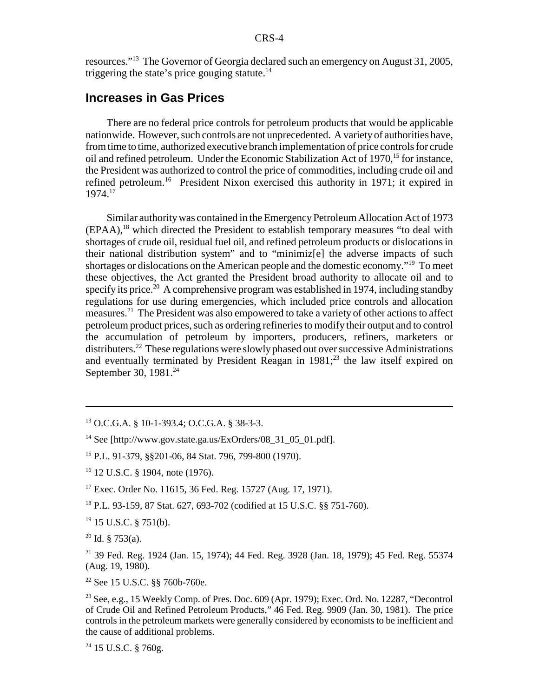resources."13 The Governor of Georgia declared such an emergency on August 31, 2005, triggering the state's price gouging statute. $14$ 

### **Increases in Gas Prices**

There are no federal price controls for petroleum products that would be applicable nationwide. However, such controls are not unprecedented. A variety of authorities have, from time to time, authorized executive branch implementation of price controls for crude oil and refined petroleum. Under the Economic Stabilization Act of 1970,<sup>15</sup> for instance, the President was authorized to control the price of commodities, including crude oil and refined petroleum.16 President Nixon exercised this authority in 1971; it expired in 1974.17

Similar authority was contained in the Emergency Petroleum Allocation Act of 1973  $(EPAA)$ ,<sup>18</sup> which directed the President to establish temporary measures "to deal with shortages of crude oil, residual fuel oil, and refined petroleum products or dislocations in their national distribution system" and to "minimiz[e] the adverse impacts of such shortages or dislocations on the American people and the domestic economy."19 To meet these objectives, the Act granted the President broad authority to allocate oil and to specify its price.<sup>20</sup> A comprehensive program was established in 1974, including standby regulations for use during emergencies, which included price controls and allocation measures.21 The President was also empowered to take a variety of other actions to affect petroleum product prices, such as ordering refineries to modify their output and to control the accumulation of petroleum by importers, producers, refiners, marketers or distributers.<sup>22</sup> These regulations were slowly phased out over successive Administrations and eventually terminated by President Reagan in  $1981$ ;<sup>23</sup> the law itself expired on September 30, 1981.<sup>24</sup>

18 P.L. 93-159, 87 Stat. 627, 693-702 (codified at 15 U.S.C. §§ 751-760).

 $19$  15 U.S.C. § 751(b).

 $20$  Id. § 753(a).

21 39 Fed. Reg. 1924 (Jan. 15, 1974); 44 Fed. Reg. 3928 (Jan. 18, 1979); 45 Fed. Reg. 55374 (Aug. 19, 1980).

22 See 15 U.S.C. §§ 760b-760e.

24 15 U.S.C. § 760g.

<sup>13</sup> O.C.G.A. § 10-1-393.4; O.C.G.A. § 38-3-3.

 $14$  See [http://www.gov.state.ga.us/ExOrders/08 31 05 01.pdf].

<sup>15</sup> P.L. 91-379, §§201-06, 84 Stat. 796, 799-800 (1970).

<sup>16 12</sup> U.S.C. § 1904, note (1976).

<sup>&</sup>lt;sup>17</sup> Exec. Order No. 11615, 36 Fed. Reg. 15727 (Aug. 17, 1971).

<sup>&</sup>lt;sup>23</sup> See, e.g., 15 Weekly Comp. of Pres. Doc.  $609$  (Apr. 1979); Exec. Ord. No. 12287, "Decontrol of Crude Oil and Refined Petroleum Products," 46 Fed. Reg. 9909 (Jan. 30, 1981). The price controls in the petroleum markets were generally considered by economists to be inefficient and the cause of additional problems.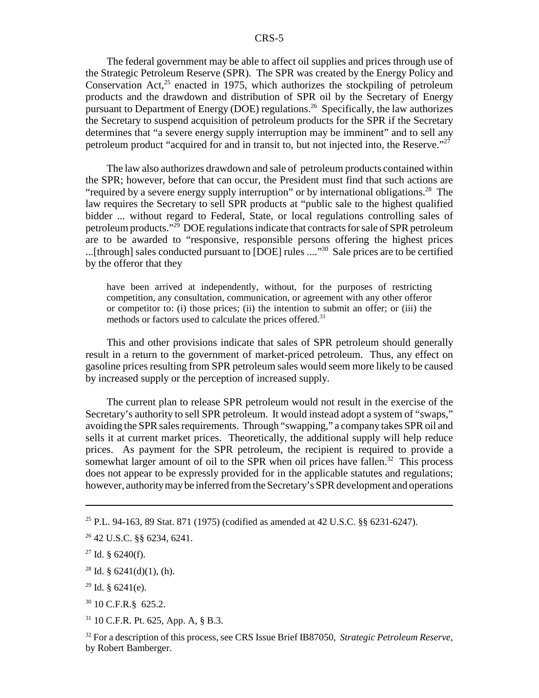The federal government may be able to affect oil supplies and prices through use of the Strategic Petroleum Reserve (SPR). The SPR was created by the Energy Policy and Conservation Act, $^{25}$  enacted in 1975, which authorizes the stockpiling of petroleum products and the drawdown and distribution of SPR oil by the Secretary of Energy pursuant to Department of Energy (DOE) regulations.<sup>26</sup> Specifically, the law authorizes the Secretary to suspend acquisition of petroleum products for the SPR if the Secretary determines that "a severe energy supply interruption may be imminent" and to sell any petroleum product "acquired for and in transit to, but not injected into, the Reserve."27

The law also authorizes drawdown and sale of petroleum products contained within the SPR; however, before that can occur, the President must find that such actions are "required by a severe energy supply interruption" or by international obligations.<sup>28</sup> The law requires the Secretary to sell SPR products at "public sale to the highest qualified bidder ... without regard to Federal, State, or local regulations controlling sales of petroleum products."29 DOE regulations indicate that contracts for sale of SPR petroleum are to be awarded to "responsive, responsible persons offering the highest prices ...[through] sales conducted pursuant to [DOE] rules ...."30 Sale prices are to be certified by the offeror that they

have been arrived at independently, without, for the purposes of restricting competition, any consultation, communication, or agreement with any other offeror or competitor to: (i) those prices; (ii) the intention to submit an offer; or (iii) the methods or factors used to calculate the prices offered.<sup>31</sup>

This and other provisions indicate that sales of SPR petroleum should generally result in a return to the government of market-priced petroleum. Thus, any effect on gasoline prices resulting from SPR petroleum sales would seem more likely to be caused by increased supply or the perception of increased supply.

The current plan to release SPR petroleum would not result in the exercise of the Secretary's authority to sell SPR petroleum. It would instead adopt a system of "swaps," avoiding the SPR sales requirements. Through "swapping," a company takes SPR oil and sells it at current market prices. Theoretically, the additional supply will help reduce prices. As payment for the SPR petroleum, the recipient is required to provide a somewhat larger amount of oil to the SPR when oil prices have fallen.<sup>32</sup> This process does not appear to be expressly provided for in the applicable statutes and regulations; however, authority may be inferred from the Secretary's SPR development and operations

 $28$  Id. § 6241(d)(1), (h).

 $29$  Id. § 6241(e).

31 10 C.F.R. Pt. 625, App. A, § B.3.

<sup>32</sup> For a description of this process, see CRS Issue Brief IB87050, *Strategic Petroleum Reserve*, by Robert Bamberger.

<sup>25</sup> P.L. 94-163, 89 Stat. 871 (1975) (codified as amended at 42 U.S.C. §§ 6231-6247).

<sup>26 42</sup> U.S.C. §§ 6234, 6241.

 $27$  Id. § 6240(f).

<sup>30 10</sup> C.F.R.§ 625.2.